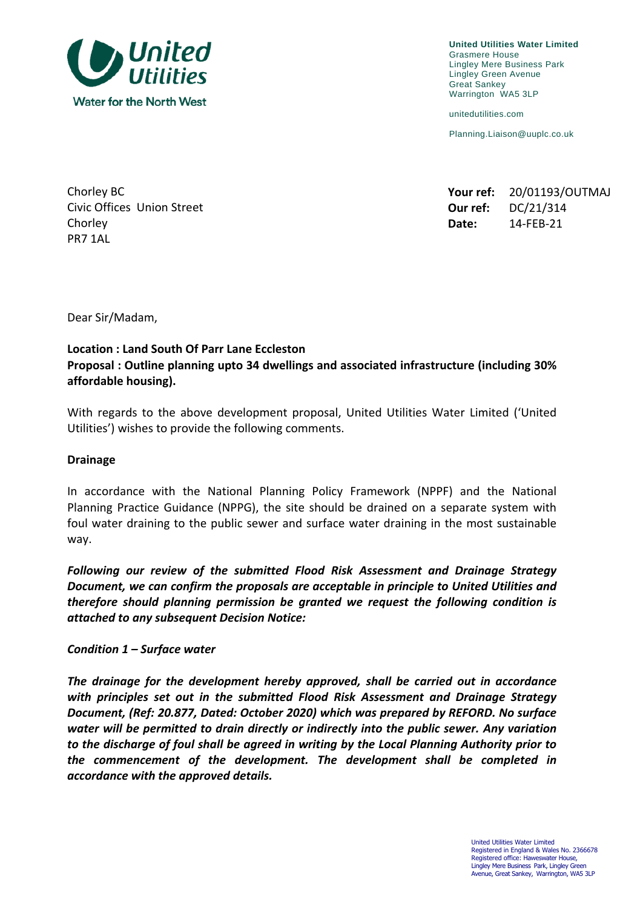

**United Utilities Water Limited** Grasmere House Lingley Mere Business Park Lingley Green Avenue Great Sankey Warrington WA5 3LP

unitedutilities.com

Planning.Liaison@uuplc.co.uk

| Chorley BC                 |       | Your ref: 20/01193/OUTMAJ |
|----------------------------|-------|---------------------------|
| Civic Offices Union Street |       | Our ref: $DC/21/314$      |
| Chorley                    | Date: | 14-FEB-21                 |

**Civic Offices Union Street** Chorley **Date:** 14-FEB-21 PR7 1AL

Dear Sir/Madam,

# **Location : Land South Of Parr Lane Eccleston Proposal : Outline planning upto 34 dwellings and associated infrastructure (including 30% affordable housing).**

With regards to the above development proposal, United Utilities Water Limited ('United Utilities') wishes to provide the following comments.

#### **Drainage**

In accordance with the National Planning Policy Framework (NPPF) and the National Planning Practice Guidance (NPPG), the site should be drained on a separate system with foul water draining to the public sewer and surface water draining in the most sustainable way.

*Following our review of the submitted Flood Risk Assessment and Drainage Strategy Document, we can confirm the proposals are acceptable in principle to United Utilities and therefore should planning permission be granted we request the following condition is attached to any subsequent Decision Notice:* 

*Condition 1 – Surface water*

*The drainage for the development hereby approved, shall be carried out in accordance with principles set out in the submitted Flood Risk Assessment and Drainage Strategy Document, (Ref: 20.877, Dated: October 2020) which was prepared by REFORD. No surface water will be permitted to drain directly or indirectly into the public sewer. Any variation to the discharge of foul shall be agreed in writing by the Local Planning Authority prior to the commencement of the development. The development shall be completed in accordance with the approved details.*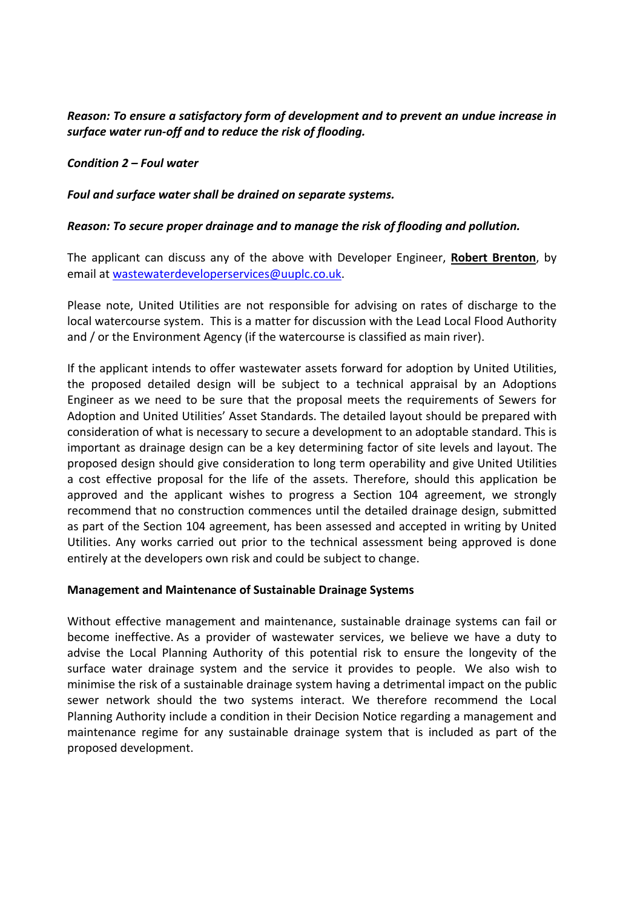# *Reason: To ensure a satisfactory form of development and to prevent an undue increase in surface water run-off and to reduce the risk of flooding.*

## *Condition 2 – Foul water*

### *Foul and surface water shall be drained on separate systems.*

## *Reason: To secure proper drainage and to manage the risk of flooding and pollution.*

The applicant can discuss any of the above with Developer Engineer, **Robert Brenton**, by email at [wastewaterdeveloperservices@uuplc.co.uk.](mailto:wastewaterdeveloperservices@uuplc.co.uk)

Please note, United Utilities are not responsible for advising on rates of discharge to the local watercourse system. This is a matter for discussion with the Lead Local Flood Authority and / or the Environment Agency (if the watercourse is classified as main river).

If the applicant intends to offer wastewater assets forward for adoption by United Utilities, the proposed detailed design will be subject to a technical appraisal by an Adoptions Engineer as we need to be sure that the proposal meets the requirements of Sewers for Adoption and United Utilities' Asset Standards. The detailed layout should be prepared with consideration of what is necessary to secure a development to an adoptable standard. This is important as drainage design can be a key determining factor of site levels and layout. The proposed design should give consideration to long term operability and give United Utilities a cost effective proposal for the life of the assets. Therefore, should this application be approved and the applicant wishes to progress a Section 104 agreement, we strongly recommend that no construction commences until the detailed drainage design, submitted as part of the Section 104 agreement, has been assessed and accepted in writing by United Utilities. Any works carried out prior to the technical assessment being approved is done entirely at the developers own risk and could be subject to change.

### **Management and Maintenance of Sustainable Drainage Systems**

Without effective management and maintenance, sustainable drainage systems can fail or become ineffective. As a provider of wastewater services, we believe we have a duty to advise the Local Planning Authority of this potential risk to ensure the longevity of the surface water drainage system and the service it provides to people. We also wish to minimise the risk of a sustainable drainage system having a detrimental impact on the public sewer network should the two systems interact. We therefore recommend the Local Planning Authority include a condition in their Decision Notice regarding a management and maintenance regime for any sustainable drainage system that is included as part of the proposed development.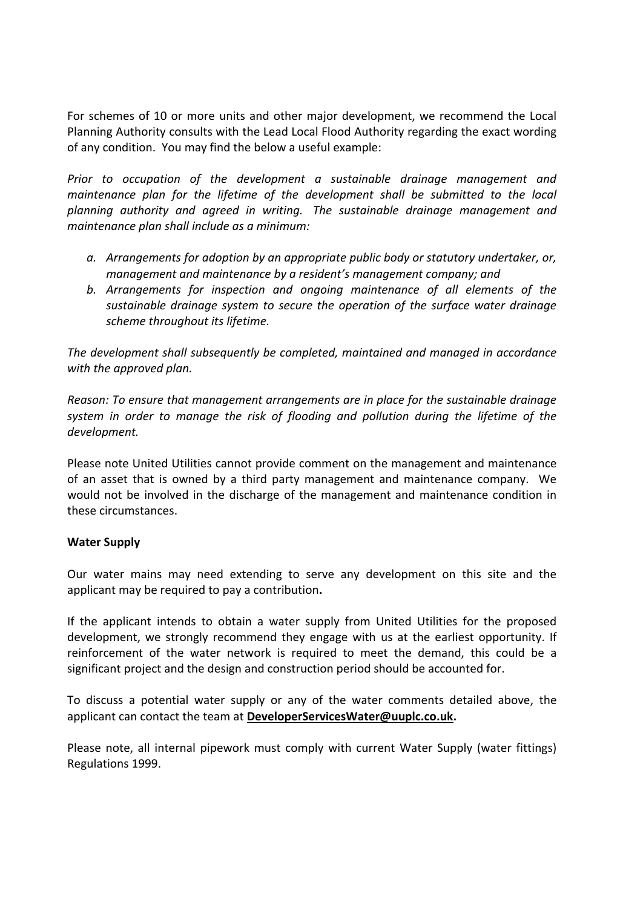For schemes of 10 or more units and other major development, we recommend the Local Planning Authority consults with the Lead Local Flood Authority regarding the exact wording of any condition. You may find the below a useful example:

*Prior to occupation of the development a sustainable drainage management and maintenance plan for the lifetime of the development shall be submitted to the local planning authority and agreed in writing. The sustainable drainage management and maintenance plan shall include as a minimum:* 

- *a. Arrangements for adoption by an appropriate public body or statutory undertaker, or, management and maintenance by a resident's management company; and*
- *b. Arrangements for inspection and ongoing maintenance of all elements of the sustainable drainage system to secure the operation of the surface water drainage scheme throughout its lifetime.*

*The development shall subsequently be completed, maintained and managed in accordance with the approved plan.*

*Reason: To ensure that management arrangements are in place for the sustainable drainage system in order to manage the risk of flooding and pollution during the lifetime of the development.*

Please note United Utilities cannot provide comment on the management and maintenance of an asset that is owned by a third party management and maintenance company. We would not be involved in the discharge of the management and maintenance condition in these circumstances.

# **Water Supply**

Our water mains may need extending to serve any development on this site and the applicant may be required to pay a contribution**.**

If the applicant intends to obtain a water supply from United Utilities for the proposed development, we strongly recommend they engage with us at the earliest opportunity. If reinforcement of the water network is required to meet the demand, this could be a significant project and the design and construction period should be accounted for.

To discuss a potential water supply or any of the water comments detailed above, the applicant can contact the team at **[DeveloperServicesWater@uuplc.co.uk.](mailto:DeveloperServicesWater@uuplc.co.uk)**

Please note, all internal pipework must comply with current Water Supply (water fittings) Regulations 1999.